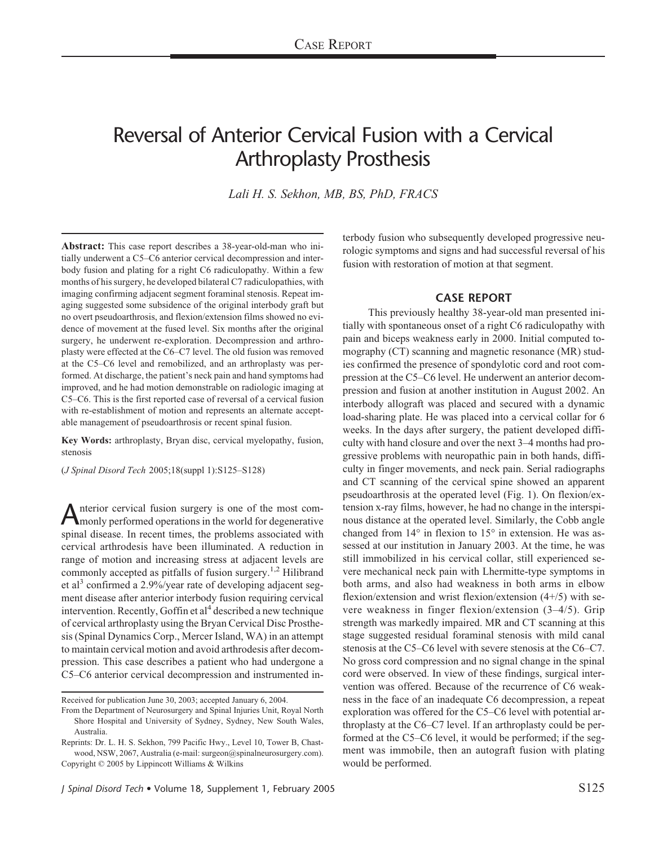# Reversal of Anterior Cervical Fusion with a Cervical Arthroplasty Prosthesis

*Lali H. S. Sekhon, MB, BS, PhD, FRACS*

**Abstract:** This case report describes a 38-year-old-man who initially underwent a C5–C6 anterior cervical decompression and interbody fusion and plating for a right C6 radiculopathy. Within a few months of his surgery, he developed bilateral C7 radiculopathies, with imaging confirming adjacent segment foraminal stenosis. Repeat imaging suggested some subsidence of the original interbody graft but no overt pseudoarthrosis, and flexion/extension films showed no evidence of movement at the fused level. Six months after the original surgery, he underwent re-exploration. Decompression and arthroplasty were effected at the C6–C7 level. The old fusion was removed at the C5–C6 level and remobilized, and an arthroplasty was performed. At discharge, the patient's neck pain and hand symptoms had improved, and he had motion demonstrable on radiologic imaging at C5–C6. This is the first reported case of reversal of a cervical fusion with re-establishment of motion and represents an alternate acceptable management of pseudoarthrosis or recent spinal fusion.

**Key Words:** arthroplasty, Bryan disc, cervical myelopathy, fusion, stenosis

(*J Spinal Disord Tech* 2005;18(suppl 1):S125–S128)

nterior cervical fusion surgery is one of the most commonly performed operations in the world for degenerative spinal disease. In recent times, the problems associated with cervical arthrodesis have been illuminated. A reduction in range of motion and increasing stress at adjacent levels are commonly accepted as pitfalls of fusion surgery.<sup>1,2</sup> Hilibrand et al<sup>3</sup> confirmed a 2.9%/year rate of developing adjacent segment disease after anterior interbody fusion requiring cervical intervention. Recently, Goffin et  $al<sup>4</sup>$  described a new technique of cervical arthroplasty using the Bryan Cervical Disc Prosthesis (Spinal Dynamics Corp., Mercer Island, WA) in an attempt to maintain cervical motion and avoid arthrodesis after decompression. This case describes a patient who had undergone a C5–C6 anterior cervical decompression and instrumented in-

Received for publication June 30, 2003; accepted January 6, 2004.

*J Spinal Disord Tech* • Volume 18, Supplement 1, February 2005 Spinal Disord Tech • S125

terbody fusion who subsequently developed progressive neurologic symptoms and signs and had successful reversal of his fusion with restoration of motion at that segment.

### **CASE REPORT**

This previously healthy 38-year-old man presented initially with spontaneous onset of a right C6 radiculopathy with pain and biceps weakness early in 2000. Initial computed tomography (CT) scanning and magnetic resonance (MR) studies confirmed the presence of spondylotic cord and root compression at the C5–C6 level. He underwent an anterior decompression and fusion at another institution in August 2002. An interbody allograft was placed and secured with a dynamic load-sharing plate. He was placed into a cervical collar for 6 weeks. In the days after surgery, the patient developed difficulty with hand closure and over the next 3–4 months had progressive problems with neuropathic pain in both hands, difficulty in finger movements, and neck pain. Serial radiographs and CT scanning of the cervical spine showed an apparent pseudoarthrosis at the operated level (Fig. 1). On flexion/extension x-ray films, however, he had no change in the interspinous distance at the operated level. Similarly, the Cobb angle changed from 14° in flexion to 15° in extension. He was assessed at our institution in January 2003. At the time, he was still immobilized in his cervical collar, still experienced severe mechanical neck pain with Lhermitte-type symptoms in both arms, and also had weakness in both arms in elbow flexion/extension and wrist flexion/extension (4+/5) with severe weakness in finger flexion/extension (3–4/5). Grip strength was markedly impaired. MR and CT scanning at this stage suggested residual foraminal stenosis with mild canal stenosis at the C5–C6 level with severe stenosis at the C6–C7. No gross cord compression and no signal change in the spinal cord were observed. In view of these findings, surgical intervention was offered. Because of the recurrence of C6 weakness in the face of an inadequate C6 decompression, a repeat exploration was offered for the C5–C6 level with potential arthroplasty at the C6–C7 level. If an arthroplasty could be performed at the C5–C6 level, it would be performed; if the segment was immobile, then an autograft fusion with plating would be performed.

From the Department of Neurosurgery and Spinal Injuries Unit, Royal North Shore Hospital and University of Sydney, Sydney, New South Wales, Australia.

Reprints: Dr. L. H. S. Sekhon, 799 Pacific Hwy., Level 10, Tower B, Chastwood, NSW, 2067, Australia (e-mail: surgeon@spinalneurosurgery.com). Copyright © 2005 by Lippincott Williams & Wilkins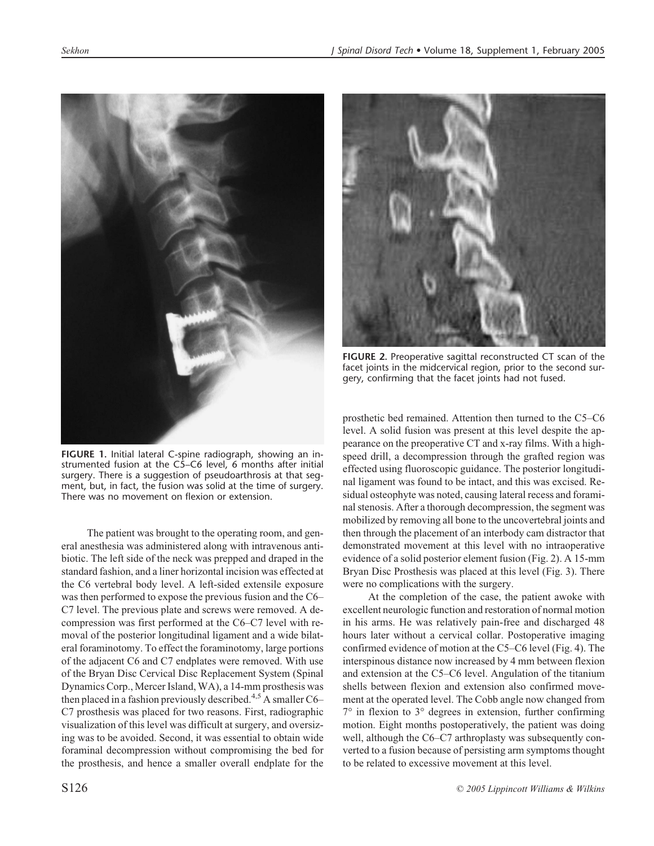

*Sekhon J Spinal Disord Tech* • Volume 18, Supplement 1, February 2005



**FIGURE 2.** Preoperative sagittal reconstructed CT scan of the facet joints in the midcervical region, prior to the second surgery, confirming that the facet joints had not fused.

**FIGURE 1.** Initial lateral C-spine radiograph, showing an instrumented fusion at the C5–C6 level, 6 months after initial surgery. There is a suggestion of pseudoarthrosis at that segment, but, in fact, the fusion was solid at the time of surgery. There was no movement on flexion or extension.

The patient was brought to the operating room, and general anesthesia was administered along with intravenous antibiotic. The left side of the neck was prepped and draped in the standard fashion, and a liner horizontal incision was effected at the C6 vertebral body level. A left-sided extensile exposure was then performed to expose the previous fusion and the C6– C7 level. The previous plate and screws were removed. A decompression was first performed at the C6–C7 level with removal of the posterior longitudinal ligament and a wide bilateral foraminotomy. To effect the foraminotomy, large portions of the adjacent C6 and C7 endplates were removed. With use of the Bryan Disc Cervical Disc Replacement System (Spinal Dynamics Corp., Mercer Island, WA), a 14-mm prosthesis was then placed in a fashion previously described.<sup>4,5</sup> A smaller  $C6-$ C7 prosthesis was placed for two reasons. First, radiographic visualization of this level was difficult at surgery, and oversizing was to be avoided. Second, it was essential to obtain wide foraminal decompression without compromising the bed for the prosthesis, and hence a smaller overall endplate for the prosthetic bed remained. Attention then turned to the C5–C6 level. A solid fusion was present at this level despite the appearance on the preoperative CT and x-ray films. With a highspeed drill, a decompression through the grafted region was effected using fluoroscopic guidance. The posterior longitudinal ligament was found to be intact, and this was excised. Residual osteophyte was noted, causing lateral recess and foraminal stenosis. After a thorough decompression, the segment was mobilized by removing all bone to the uncovertebral joints and then through the placement of an interbody cam distractor that demonstrated movement at this level with no intraoperative evidence of a solid posterior element fusion (Fig. 2). A 15-mm Bryan Disc Prosthesis was placed at this level (Fig. 3). There were no complications with the surgery.

At the completion of the case, the patient awoke with excellent neurologic function and restoration of normal motion in his arms. He was relatively pain-free and discharged 48 hours later without a cervical collar. Postoperative imaging confirmed evidence of motion at the C5–C6 level (Fig. 4). The interspinous distance now increased by 4 mm between flexion and extension at the C5–C6 level. Angulation of the titanium shells between flexion and extension also confirmed movement at the operated level. The Cobb angle now changed from  $7^\circ$  in flexion to  $3^\circ$  degrees in extension, further confirming motion. Eight months postoperatively, the patient was doing well, although the C6–C7 arthroplasty was subsequently converted to a fusion because of persisting arm symptoms thought to be related to excessive movement at this level.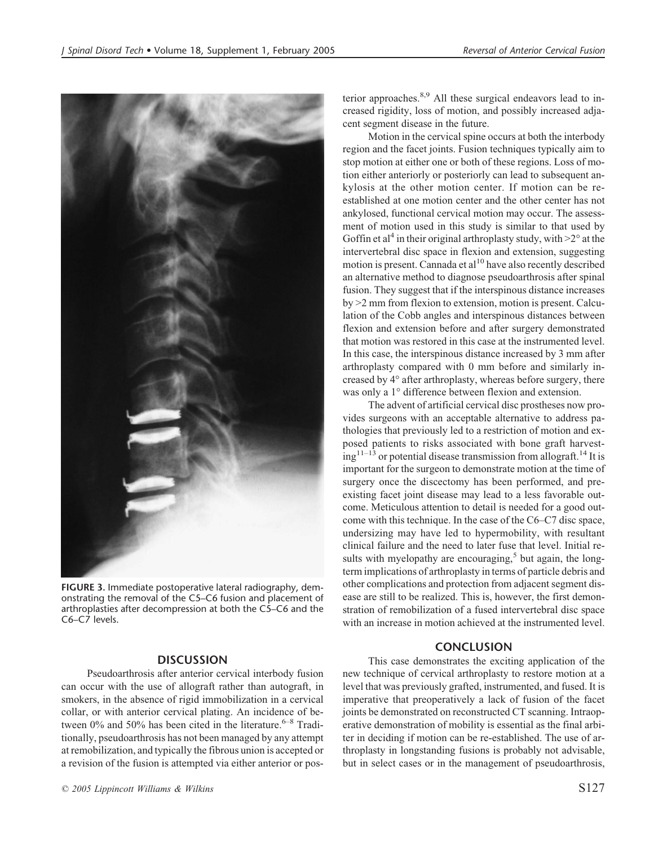

**FIGURE 3.** Immediate postoperative lateral radiography, demonstrating the removal of the C5–C6 fusion and placement of arthroplasties after decompression at both the C5–C6 and the C6–C7 levels.

## **DISCUSSION**

Pseudoarthrosis after anterior cervical interbody fusion can occur with the use of allograft rather than autograft, in smokers, in the absence of rigid immobilization in a cervical collar, or with anterior cervical plating. An incidence of between  $0\%$  and 50% has been cited in the literature.<sup>6–8</sup> Traditionally, pseudoarthrosis has not been managed by any attempt at remobilization, and typically the fibrous union is accepted or a revision of the fusion is attempted via either anterior or posterior approaches. $8,9$  All these surgical endeavors lead to increased rigidity, loss of motion, and possibly increased adjacent segment disease in the future.

Motion in the cervical spine occurs at both the interbody region and the facet joints. Fusion techniques typically aim to stop motion at either one or both of these regions. Loss of motion either anteriorly or posteriorly can lead to subsequent ankylosis at the other motion center. If motion can be reestablished at one motion center and the other center has not ankylosed, functional cervical motion may occur. The assessment of motion used in this study is similar to that used by Goffin et al<sup>4</sup> in their original arthroplasty study, with  $>2^\circ$  at the intervertebral disc space in flexion and extension, suggesting motion is present. Cannada et al<sup>10</sup> have also recently described an alternative method to diagnose pseudoarthrosis after spinal fusion. They suggest that if the interspinous distance increases by >2 mm from flexion to extension, motion is present. Calculation of the Cobb angles and interspinous distances between flexion and extension before and after surgery demonstrated that motion was restored in this case at the instrumented level. In this case, the interspinous distance increased by 3 mm after arthroplasty compared with 0 mm before and similarly increased by 4° after arthroplasty, whereas before surgery, there was only a 1° difference between flexion and extension.

The advent of artificial cervical disc prostheses now provides surgeons with an acceptable alternative to address pathologies that previously led to a restriction of motion and exposed patients to risks associated with bone graft harvest $ing<sup>11–13</sup>$  or potential disease transmission from allograft.<sup>14</sup> It is important for the surgeon to demonstrate motion at the time of surgery once the discectomy has been performed, and preexisting facet joint disease may lead to a less favorable outcome. Meticulous attention to detail is needed for a good outcome with this technique. In the case of the C6–C7 disc space, undersizing may have led to hypermobility, with resultant clinical failure and the need to later fuse that level. Initial results with myelopathy are encouraging, $5$  but again, the longterm implications of arthroplasty in terms of particle debris and other complications and protection from adjacent segment disease are still to be realized. This is, however, the first demonstration of remobilization of a fused intervertebral disc space with an increase in motion achieved at the instrumented level.

## **CONCLUSION**

This case demonstrates the exciting application of the new technique of cervical arthroplasty to restore motion at a level that was previously grafted, instrumented, and fused. It is imperative that preoperatively a lack of fusion of the facet joints be demonstrated on reconstructed CT scanning. Intraoperative demonstration of mobility is essential as the final arbiter in deciding if motion can be re-established. The use of arthroplasty in longstanding fusions is probably not advisable, but in select cases or in the management of pseudoarthrosis,